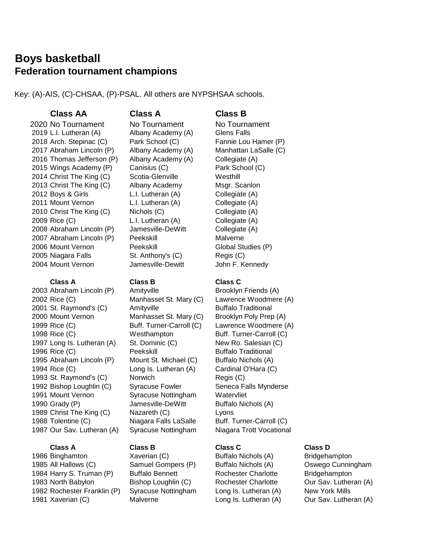# **Boys basketball Federation tournament champions**

Key: (A)-AIS, (C)-CHSAA, (P)-PSAL. All others are NYPSHSAA schools.

# **Class AA Class A Class B**

2020 No Tournament No Tournament No Tournament 2019 L.I. Lutheran (A) Albany Academy (A) Glens Falls 2018 Arch. Stepinac (C) Park School (C) Fannie Lou Hamer (P) 2017 Abraham Lincoln (P) Albany Academy (A) Manhattan LaSalle (C) 2016 Thomas Jefferson (P) Albany Academy (A) Collegiate (A) 2015 Wings Academy (P) Canisius (C) Park School (C) 2014 Christ The King (C) Scotia-Glenville Westhill 2013 Christ The King (C) Albany Academy Msgr. Scanlon 2012 Boys & Girls **L.I. Lutheran (A)** Collegiate (A) 2011 Mount Vernon L.I. Lutheran (A) Collegiate (A) 2010 Christ The King (C) Nichols (C) Collegiate (A) 2009 Rice (C) L.I. Lutheran (A) Collegiate (A) 2008 Abraham Lincoln (P) Jamesville-DeWitt Collegiate (A) 2007 Abraham Lincoln (P) Peekskill Malverne 2006 Mount Vernon Peekskill Global Studies (P) 2005 Niagara Falls St. Anthony's (C) Regis (C) 2004 Mount Vernon Jamesville-Dewitt John F. Kennedy

2003 Abraham Lincoln (P) Amityville Brooklyn Friends (A) 2002 Rice (C) Manhasset St. Mary (C) Lawrence Woodmere (A) 2001 St. Raymond's (C) Amityville Buffalo Traditional 2000 Mount Vernon Manhasset St. Mary (C) Brooklyn Poly Prep (A) 1999 Rice (C) Buff. Turner-Carroll (C) Lawrence Woodmere (A) 1998 Rice (C) **Westhampton** Buff. Turner-Carroll (C) 1997 Long Is. Lutheran (A) St. Dominic (C) New Ro. Salesian (C) 1996 Rice (C) **Peekskill** Buffalo Traditional 1995 Abraham Lincoln (P) Mount St. Michael (C) Buffalo Nichols (A) 1994 Rice (C) Long Is. Lutheran (A) Cardinal O'Hara (C) 1993 St. Raymond's (C) Norwich Regis (C) 1992 Bishop Loughlin (C) Syracuse Fowler Seneca Falls Mynderse 1991 Mount Vernon Syracuse Nottingham Watervliet 1990 Grady (P) **Jamesville-DeWitt** Buffalo Nichols (A) 1989 Christ The King (C) Nazareth (C) Lyons 1988 Tolentine (C) Niagara Falls LaSalle Buff. Turner-Carroll (C) 1987 Our Sav. Lutheran (A) Syracuse Nottingham Niagara Trott Vocational

1986 Binghamton **Xaverian (C)** Buffalo Nichols (A) Bridgehampton All Hallows (C) Samuel Gompers (P) Buffalo Nichols (A) Oswego Cunningham Harry S. Truman (P) Buffalo Bennett Rochester Charlotte Bridgehampton North Babylon Bishop Loughlin (C) Rochester Charlotte Our Sav. Lutheran (A) Rochester Franklin (P) Syracuse Nottingham Long Is. Lutheran (A) New York Mills 1981 Xaverian (C) Malverne Long Is. Lutheran (A) Our Sav. Lutheran (A)

### **Class A Class B Class C**

## **Class A Class B Class C Class D**